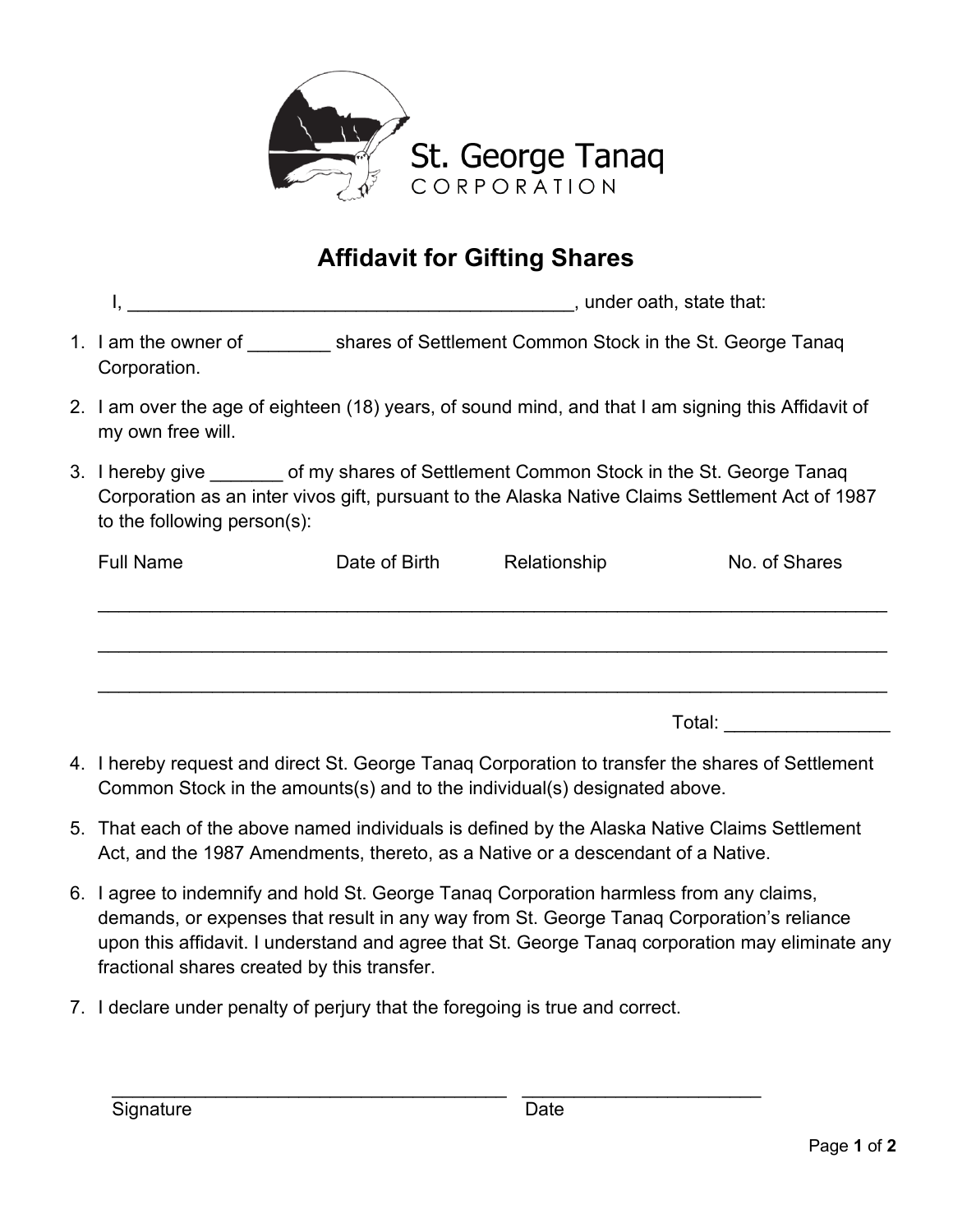

## **Affidavit for Gifting Shares**

| under oath, state that: |  |
|-------------------------|--|
|-------------------------|--|

- 1. I am the owner of **Example 2 shares of Settlement Common Stock in the St. George Tanaq** Corporation.
- 2. I am over the age of eighteen (18) years, of sound mind, and that I am signing this Affidavit of my own free will.
- 3. I hereby give of my shares of Settlement Common Stock in the St. George Tanaq Corporation as an inter vivos gift, pursuant to the Alaska Native Claims Settlement Act of 1987 to the following person(s):

| <b>Full Name</b> | Date of Birth | Relationship | No. of Shares |  |
|------------------|---------------|--------------|---------------|--|
|                  |               |              |               |  |
|                  |               |              |               |  |
|                  |               |              |               |  |
|                  |               | Total:       |               |  |

- 4. I hereby request and direct St. George Tanaq Corporation to transfer the shares of Settlement Common Stock in the amounts(s) and to the individual(s) designated above.
- 5. That each of the above named individuals is defined by the Alaska Native Claims Settlement Act, and the 1987 Amendments, thereto, as a Native or a descendant of a Native.
- 6. I agree to indemnify and hold St. George Tanaq Corporation harmless from any claims, demands, or expenses that result in any way from St. George Tanaq Corporation's reliance upon this affidavit. I understand and agree that St. George Tanaq corporation may eliminate any fractional shares created by this transfer.
- 7. I declare under penalty of perjury that the foregoing is true and correct.

\_\_\_\_\_\_\_\_\_\_\_\_\_\_\_\_\_\_\_\_\_\_\_\_\_\_\_\_\_\_\_\_\_\_\_\_\_\_ \_\_\_\_\_\_\_\_\_\_\_\_\_\_\_\_\_\_\_\_\_\_\_ Signature **Date**